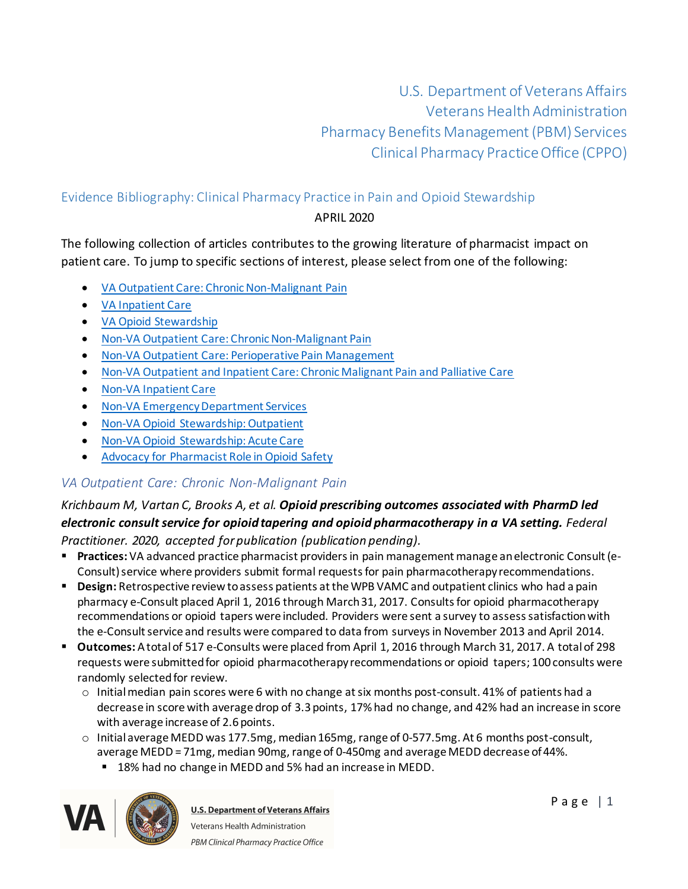U.S. Department of Veterans Affairs Veterans Health Administration Pharmacy Benefits Management (PBM) Services Clinical Pharmacy Practice Office (CPPO)

# Evidence Bibliography: Clinical Pharmacy Practice in Pain and Opioid Stewardship

#### APRIL 2020

The following collection of articles contributes to the growing literature of pharmacist impact on patient care. To jump to specific sections of interest, please select from one of the following:

- · [VA Outpatient Care: Chronic Non-Malignant Pain](#page-0-0)
- · [VA Inpatient Care](#page-3-0)
- · [VA Opioid Stewardship](#page-4-0)
- · [Non-VA Outpatient Care: Chronic Non-Malignant Pain](#page-5-0)
- · [Non-VA Outpatient Care: Perioperative Pain Management](#page-8-0)
- · Non-VA Outpatient and [Inpatient Care: Chronic Malignant Pain and Palliative Care](#page-8-1)
- · [Non-VA Inpatient Care](#page-11-0)
- · [Non-VA Emergency Department Services](#page-13-0)
- · [Non-VA Opioid Stewardship: Outpatient](#page-14-0)
- · [Non-VA Opioid Stewardship: Acute Care](#page-17-0)
- · [Advocacy for Pharmacist Role in Opioid Safety](#page-17-1)

# <span id="page-0-0"></span>*VA Outpatient Care: Chronic Non-Malignant Pain*

### *Krichbaum M, Vartan C, Brooks A, et al. Opioid prescribing outcomes associated with PharmD led electronic consult service for opioid tapering and opioid pharmacotherapy in a VA setting. Federal Practitioner. 2020, accepted for publication (publication pending).*

- § **Practices:** VA advanced practice pharmacist providers in pain management manage an electronic Consult (e-Consult) service where providers submit formal requests for pain pharmacotherapy recommendations.
- § **Design:** Retrospective review to assess patients at the WPB VAMC and outpatient clinics who had a pain pharmacy e-Consult placed April 1, 2016 through March 31, 2017. Consults for opioid pharmacotherapy recommendations or opioid tapers were included. Providers were sent a survey to assess satisfaction with the e-Consult service and results were compared to data from surveysin November 2013 and April 2014.
- § **Outcomes:** A total of 517 e-Consults were placed from April 1, 2016 through March 31, 2017. A total of 298 requests were submitted for opioid pharmacotherapy recommendations or opioid tapers; 100 consults were randomly selected for review.
	- $\circ$  Initial median pain scores were 6 with no change at six months post-consult. 41% of patients had a decrease in score with average drop of 3.3 points, 17% had no change, and 42% had an increase in score with average increase of 2.6 points.
	- $\circ$  Initial average MEDD was 177.5mg, median 165mg, range of 0-577.5mg. At 6 months post-consult, average MEDD = 71mg, median 90mg, range of 0-450mg and average MEDD decrease of 44%.
		- 18% had no change in MEDD and 5% had an increase in MEDD.

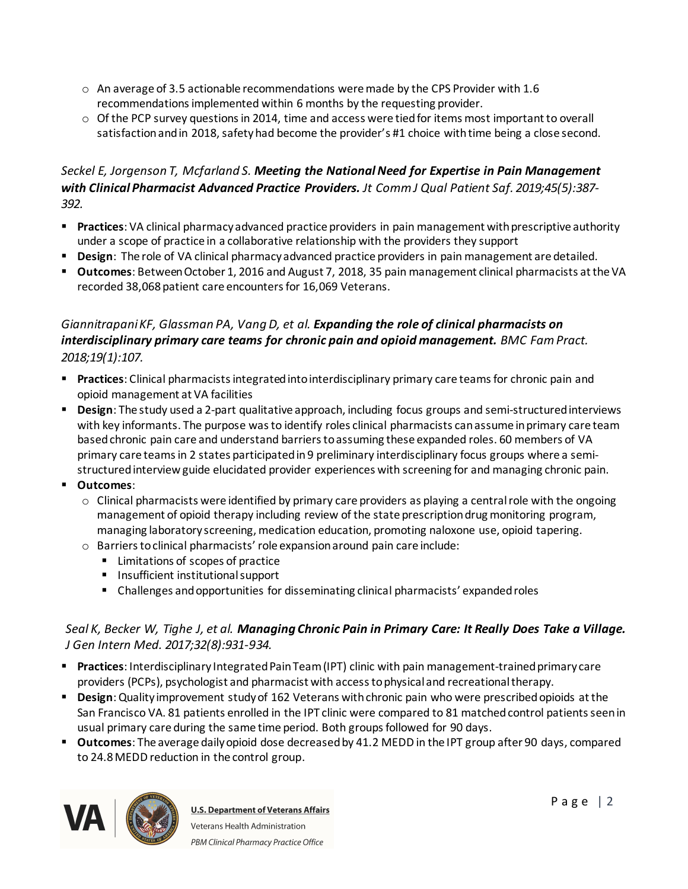- $\circ$  An average of 3.5 actionable recommendations were made by the CPS Provider with 1.6 recommendations implemented within 6 months by the requesting provider.
- $\circ$  Of the PCP survey questions in 2014, time and access were tied for items most important to overall satisfaction and in 2018, safety had become the provider's #1 choice with time being a close second.

### *Seckel E, Jorgenson T, Mcfarland S. Meeting the National Need for Expertise in Pain Management with Clinical Pharmacist Advanced Practice Providers. Jt Comm J Qual Patient Saf. 2019;45(5):387- 392.*

- § **Practices**: VA clinical pharmacy advanced practice providers in pain management with prescriptive authority under a scope of practice in a collaborative relationship with the providers they support
- § **Design**: The role of VA clinical pharmacy advanced practice providers in pain management are detailed.
- § **Outcomes**: Between October 1, 2016 and August 7, 2018, 35 pain management clinical pharmacists at the VA recorded 38,068 patient care encounters for 16,069 Veterans.

# *Giannitrapani KF, Glassman PA, Vang D, et al. Expanding the role of clinical pharmacists on interdisciplinary primary care teams for chronic pain and opioid management. BMC Fam Pract. 2018;19(1):107.*

- § **Practices**: Clinical pharmacists integrated into interdisciplinary primary care teams for chronic pain and opioid management at VA facilities
- **Design**: The study used a 2-part qualitative approach, including focus groups and semi-structured interviews with key informants. The purpose was to identify roles clinical pharmacists can assume in primary care team based chronic pain care and understand barriersto assuming these expanded roles. 60 members of VA primary care teams in 2 states participated in 9 preliminary interdisciplinary focus groups where a semistructured interview guide elucidated provider experiences with screening for and managing chronic pain.
- § **Outcomes**:
	- $\circ$  Clinical pharmacists were identified by primary care providers as playing a central role with the ongoing management of opioid therapy including review of the state prescription drug monitoring program, managing laboratory screening, medication education, promoting naloxone use, opioid tapering.
	- o Barriers to clinical pharmacists' role expansion around pain care include:
		- Limitations of scopes of practice
		- Insufficient institutional support
		- Challenges and opportunities for disseminating clinical pharmacists' expanded roles

### *Seal K, Becker W, Tighe J, et al. Managing Chronic Pain in Primary Care: It Really Does Take a Village. J Gen Intern Med. 2017;32(8):931-934.*

- § **Practices**: Interdisciplinary Integrated Pain Team (IPT) clinic with pain management-trained primary care providers (PCPs), psychologist and pharmacist with access to physical and recreational therapy.
- § **Design**: Quality improvement study of 162 Veterans with chronic pain who were prescribed opioids at the San Francisco VA. 81 patients enrolled in the IPT clinic were compared to 81 matched control patients seen in usual primary care during the same time period. Both groups followed for 90 days.
- § **Outcomes**: The average daily opioid dose decreased by 41.2 MEDD in the IPT group after 90 days, compared to 24.8 MEDD reduction in the control group.

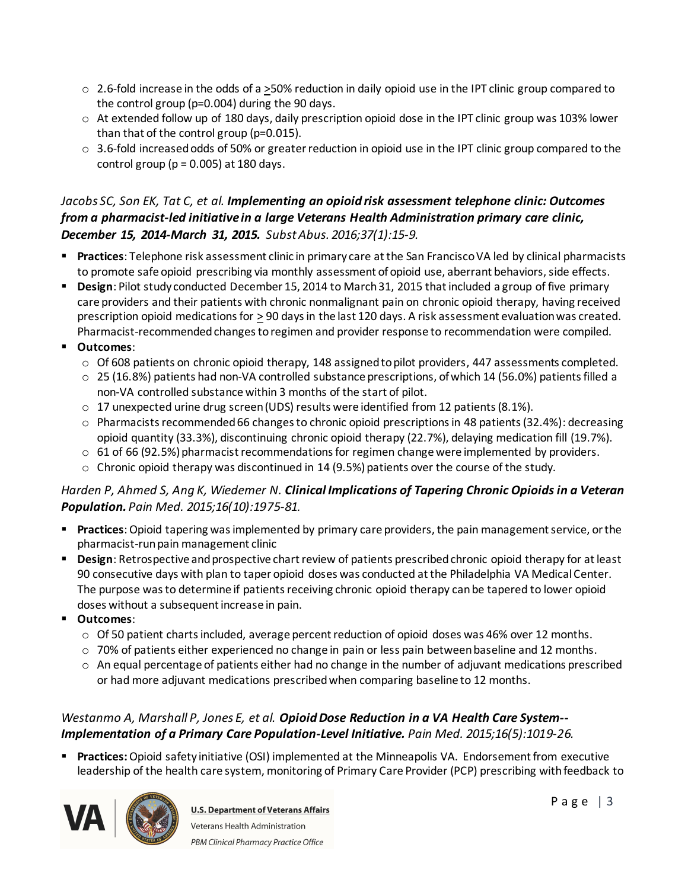- $\circ$  2.6-fold increase in the odds of a >50% reduction in daily opioid use in the IPT clinic group compared to the control group (p=0.004) during the 90 days.
- $\circ$  At extended follow up of 180 days, daily prescription opioid dose in the IPT clinic group was 103% lower than that of the control group (p=0.015).
- $\circ$  3.6-fold increased odds of 50% or greater reduction in opioid use in the IPT clinic group compared to the control group ( $p = 0.005$ ) at 180 days.

# *Jacobs SC, Son EK, Tat C, et al. Implementing an opioid risk assessment telephone clinic: Outcomes from a pharmacist-led initiative in a large Veterans Health Administration primary care clinic, December 15, 2014-March 31, 2015. Subst Abus. 2016;37(1):15-9.*

- § **Practices**: Telephone risk assessment clinic in primary care at the San Francisco VA led by clinical pharmacists to promote safe opioid prescribing via monthly assessment of opioid use, aberrant behaviors, side effects.
- § **Design**: Pilot study conducted December 15, 2014 to March 31, 2015 that included a group of five primary care providers and their patients with chronic nonmalignant pain on chronic opioid therapy, having received prescription opioid medications for  $\geq 90$  days in the last 120 days. A risk assessment evaluation was created. Pharmacist-recommended changes to regimen and provider response to recommendation were compiled.
- § **Outcomes**:
	- o Of 608 patients on chronic opioid therapy, 148 assigned to pilot providers, 447 assessments completed.
	- $\circ$  25 (16.8%) patients had non-VA controlled substance prescriptions, of which 14 (56.0%) patients filled a non-VA controlled substance within 3 months of the start of pilot.
	- $\circ$  17 unexpected urine drug screen (UDS) results were identified from 12 patients (8.1%).
	- $\circ$  Pharmacists recommended 66 changes to chronic opioid prescriptions in 48 patients (32.4%): decreasing opioid quantity (33.3%), discontinuing chronic opioid therapy (22.7%), delaying medication fill (19.7%).
	- $\circ$  61 of 66 (92.5%) pharmacist recommendations for regimen change were implemented by providers.
	- $\circ$  Chronic opioid therapy was discontinued in 14 (9.5%) patients over the course of the study.

#### *Harden P, Ahmed S, Ang K, Wiedemer N. Clinical Implications of Tapering Chronic Opioids in a Veteran Population. Pain Med. 2015;16(10):1975-81.*

- § **Practices**: Opioid tapering was implemented by primary care providers, the pain management service, or the pharmacist-run pain management clinic
- § **Design**: Retrospective and prospective chart review of patients prescribed chronic opioid therapy for at least 90 consecutive days with plan to taper opioid doses was conducted at the Philadelphia VA Medical Center. The purpose was to determine if patients receiving chronic opioid therapy can be tapered to lower opioid doses without a subsequent increase in pain.
- § **Outcomes**:
	- $\circ$  Of 50 patient charts included, average percent reduction of opioid doses was 46% over 12 months.
	- $\circ$  70% of patients either experienced no change in pain or less pain between baseline and 12 months.
	- $\circ$  An equal percentage of patients either had no change in the number of adjuvant medications prescribed or had more adjuvant medications prescribed when comparing baseline to 12 months.

### *Westanmo A, Marshall P, Jones E, et al. Opioid Dose Reduction in a VA Health Care System-- Implementation of a Primary Care Population-Level Initiative. Pain Med. 2015;16(5):1019-26.*

§ **Practices:**Opioid safety initiative (OSI) implemented at the Minneapolis VA. Endorsement from executive leadership of the health care system, monitoring of Primary Care Provider (PCP) prescribing with feedback to

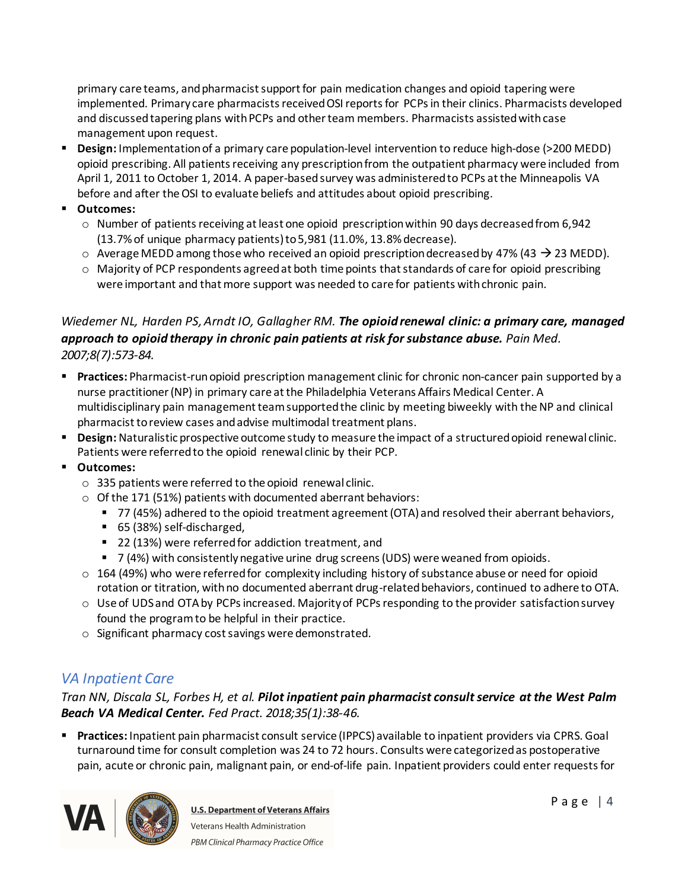primary care teams, and pharmacist support for pain medication changes and opioid tapering were implemented. Primary care pharmacists received OSI reports for PCPs in their clinics. Pharmacists developed and discussedtapering plans with PCPs and other team members. Pharmacists assisted with case management upon request.

- § **Design:** Implementation of a primary care population-level intervention to reduce high-dose (>200 MEDD) opioid prescribing. All patients receiving any prescription from the outpatient pharmacy were included from April 1, 2011 to October 1, 2014. A paper-based survey was administered to PCPs at the Minneapolis VA before and after the OSI to evaluate beliefs and attitudes about opioid prescribing.
- § **Outcomes:**
	- o Number of patients receiving at least one opioid prescription within 90 days decreased from 6,942 (13.7% of unique pharmacy patients) to 5,981 (11.0%, 13.8% decrease).
	- $\circ$  Average MEDD among those who received an opioid prescription decreased by 47% (43  $\rightarrow$  23 MEDD).
	- $\circ$  Majority of PCP respondents agreed at both time points that standards of care for opioid prescribing were important and that more support was needed to care for patients with chronic pain.

# *Wiedemer NL, Harden PS, Arndt IO, Gallagher RM. The opioid renewal clinic: a primary care, managed approach to opioid therapy in chronic pain patients at risk for substance abuse. Pain Med. 2007;8(7):573-84.*

- § **Practices:** Pharmacist-run opioid prescription management clinic for chronic non-cancer pain supported by a nurse practitioner (NP) in primary care at the Philadelphia Veterans Affairs Medical Center. A multidisciplinary pain management team supported the clinic by meeting biweekly with the NP and clinical pharmacist to review cases and advise multimodal treatment plans.
- **Design:** Naturalistic prospective outcome study to measure the impact of a structured opioid renewal clinic. Patients were referred to the opioid renewal clinic by their PCP.
- § **Outcomes:**
	- o 335 patients were referred to the opioid renewal clinic.
	- $\circ$  Of the 171 (51%) patients with documented aberrant behaviors:
		- 77 (45%) adhered to the opioid treatment agreement (OTA) and resolved their aberrant behaviors,
		- 65 (38%) self-discharged,
		- 22 (13%) were referred for addiction treatment, and
		- 7 (4%) with consistently negative urine drug screens (UDS) were weaned from opioids.
	- o 164 (49%) who were referred for complexity including history of substance abuse or need for opioid rotation or titration, with no documented aberrant drug-related behaviors, continued to adhere to OTA.
	- o Use of UDS and OTA by PCPs increased. Majority of PCPs responding to the provider satisfaction survey found the program to be helpful in their practice.
	- o Significant pharmacy cost savings were demonstrated.

# <span id="page-3-0"></span>*VA Inpatient Care*

*Tran NN, Discala SL, Forbes H, et al. Pilot inpatient pain pharmacist consult service at the West Palm Beach VA Medical Center. Fed Pract. 2018;35(1):38-46.*

§ **Practices:** Inpatient pain pharmacist consult service (IPPCS) available to inpatient providers via CPRS. Goal turnaround time for consult completion was 24 to 72 hours. Consults were categorized as postoperative pain, acute or chronic pain, malignant pain, or end-of-life pain. Inpatient providers could enter requests for

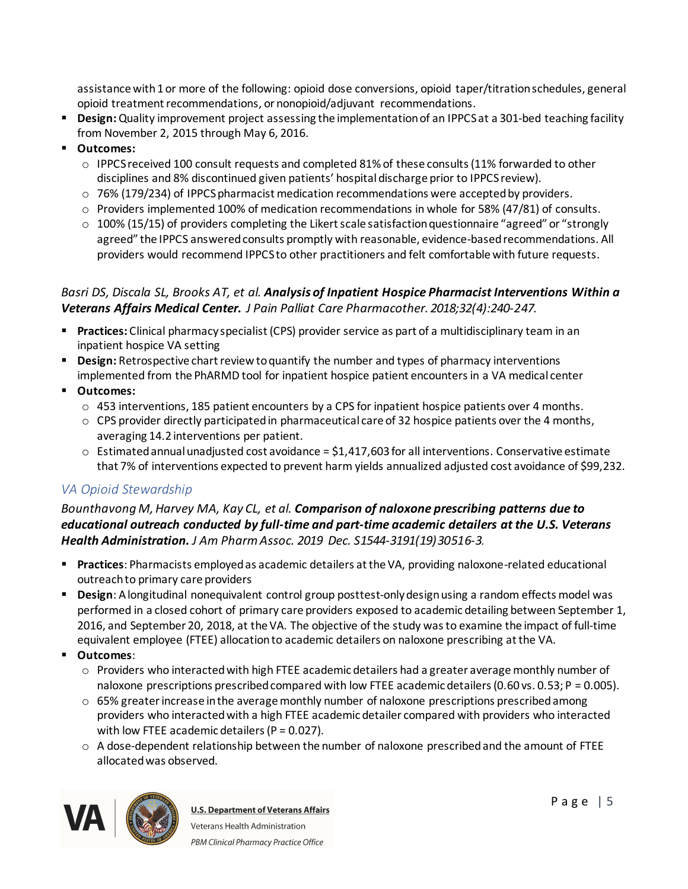assistance with 1 or more of the following: opioid dose conversions, opioid taper/titration schedules, general opioid treatment recommendations, or nonopioid/adjuvant recommendations.

- § **Design:**Quality improvement project assessing the implementation of an IPPCS at a 301-bed teaching facility from November 2, 2015 through May 6, 2016.
- § **Outcomes:** 
	- o IPPCS received 100 consult requests and completed 81% of these consults (11% forwarded to other disciplines and 8% discontinued given patients' hospital discharge prior to IPPCS review).
	- $\circ$  76% (179/234) of IPPCS pharmacist medication recommendations were accepted by providers.
	- $\circ$  Providers implemented 100% of medication recommendations in whole for 58% (47/81) of consults.
	- $\circ$  100% (15/15) of providers completing the Likert scale satisfaction questionnaire "agreed" or "strongly agreed" the IPPCS answered consults promptly with reasonable, evidence-based recommendations. All providers would recommend IPPCS to other practitioners and felt comfortable with future requests.

### *Basri DS, Discala SL, Brooks AT, et al. Analysis of Inpatient Hospice Pharmacist Interventions Within a Veterans Affairs Medical Center. J Pain Palliat Care Pharmacother. 2018;32(4):240-247.*

- § **Practices:** Clinical pharmacy specialist (CPS) provider service as part of a multidisciplinary team in an inpatient hospice VA setting
- **Design:** Retrospective chart review to quantify the number and types of pharmacy interventions implemented from the PhARMD tool for inpatient hospice patient encounters in a VA medical center
- § **Outcomes:**
	- o 453 interventions, 185 patient encounters by a CPS for inpatient hospice patients over 4 months.
	- $\circ$  CPS provider directly participated in pharmaceutical care of 32 hospice patients over the 4 months, averaging 14.2 interventions per patient.
	- $\circ$  Estimated annual unadjusted cost avoidance = \$1,417,603 for all interventions. Conservative estimate that 7% of interventions expected to prevent harm yields annualized adjusted cost avoidance of \$99,232.

# <span id="page-4-0"></span>*VA Opioid Stewardship*

#### *Bounthavong M, Harvey MA, Kay CL, et al. Comparison of naloxone prescribing patterns due to educational outreach conducted by full-time and part-time academic detailers at the U.S. Veterans Health Administration. J Am Pharm Assoc. 2019 Dec. S1544-3191(19)30516-3.*

- § **Practices**: Pharmacists employed as academic detailers at the VA, providing naloxone-related educational outreach to primary care providers
- § **Design**: A longitudinal nonequivalent control group posttest-only design using a random effects model was performed in a closed cohort of primary care providers exposed to academic detailing between September 1, 2016, and September 20, 2018, at the VA. The objective of the study was to examine the impact of full-time equivalent employee (FTEE) allocation to academic detailers on naloxone prescribing at the VA.
- § **Outcomes**:
	- o Providers who interacted with high FTEE academic detailers had a greater average monthly number of naloxone prescriptions prescribed compared with low FTEE academic detailers (0.60 vs. 0.53; P = 0.005).
	- $\circ$  65% greater increase in the average monthly number of naloxone prescriptions prescribed among providers who interacted with a high FTEE academic detailer compared with providers who interacted with low FTEE academic detailers ( $P = 0.027$ ).
	- $\circ$  A dose-dependent relationship between the number of naloxone prescribed and the amount of FTEE allocatedwas observed.

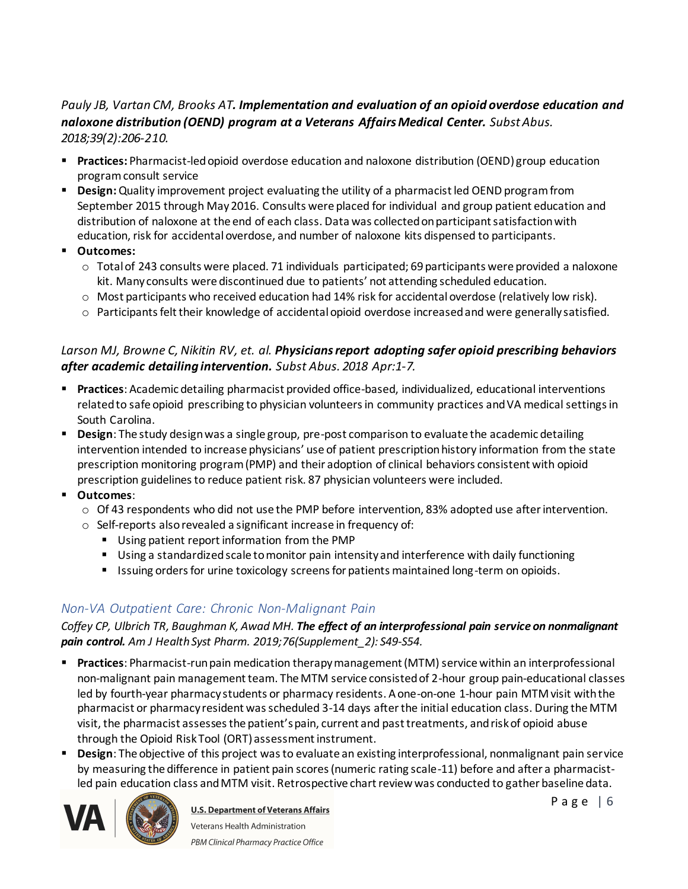# *Pauly JB, Vartan CM, Brooks AT. Implementation and evaluation of an opioid overdose education and naloxone distribution (OEND) program at a Veterans Affairs Medical Center. Subst Abus. 2018;39(2):206-210.*

- § **Practices:** Pharmacist-led opioid overdose education and naloxone distribution (OEND) group education program consult service
- **Design:** Quality improvement project evaluating the utility of a pharmacist led OEND program from September 2015 through May 2016. Consults were placed for individual and group patient education and distribution of naloxone at the end of each class. Data was collected on participant satisfaction with education, risk for accidental overdose, and number of naloxone kits dispensed to participants.
- § **Outcomes:** 
	- $\circ$  Total of 243 consults were placed. 71 individuals participated; 69 participants were provided a naloxone kit. Many consults were discontinued due to patients' not attending scheduled education.
	- o Most participants who received education had 14% risk for accidental overdose (relatively low risk).
	- $\circ$  Participants felt their knowledge of accidental opioid overdose increased and were generally satisfied.

# *Larson MJ, Browne C, Nikitin RV, et. al. Physicians report adopting safer opioid prescribing behaviors after academic detailing intervention. Subst Abus. 2018 Apr:1-7.*

- § **Practices**: Academic detailing pharmacist provided office-based, individualized, educational interventions related to safe opioid prescribing to physician volunteers in community practices and VA medical settings in South Carolina.
- **Design**: The study design was a single group, pre-post comparison to evaluate the academic detailing intervention intended to increase physicians' use of patient prescription history information from the state prescription monitoring program (PMP) and their adoption of clinical behaviors consistent with opioid prescription guidelines to reduce patient risk. 87 physician volunteers were included.
- § **Outcomes**:
	- $\circ$  Of 43 respondents who did not use the PMP before intervention, 83% adopted use after intervention.
	- o Self-reports also revealed a significant increase in frequency of:
		- § Using patient report information from the PMP
		- Using a standardized scale to monitor pain intensity and interference with daily functioning
		- Issuing orders for urine toxicology screens for patients maintained long-term on opioids.

# <span id="page-5-0"></span>*Non-VA Outpatient Care: Chronic Non-Malignant Pain*

*Coffey CP, Ulbrich TR, Baughman K, Awad MH. The effect of an interprofessional pain service on nonmalignant pain control. Am J Health Syst Pharm. 2019;76(Supplement\_2): S49-S54.*

- § **Practices**: Pharmacist-run pain medication therapy management (MTM) service within an interprofessional non-malignant pain management team. The MTM service consisted of 2-hour group pain-educational classes led by fourth-year pharmacy students or pharmacy residents. A one-on-one 1-hour pain MTM visit with the pharmacist or pharmacy resident was scheduled 3-14 days after the initial education class. During the MTM visit, the pharmacist assesses the patient's pain, current and past treatments, and risk of opioid abuse through the Opioid Risk Tool (ORT) assessment instrument.
- § **Design**: The objective of this project was to evaluate an existing interprofessional, nonmalignant pain service by measuring the difference in patient pain scores (numeric rating scale-11) before and after a pharmacistled pain education class and MTM visit. Retrospective chart review was conducted to gather baseline data.



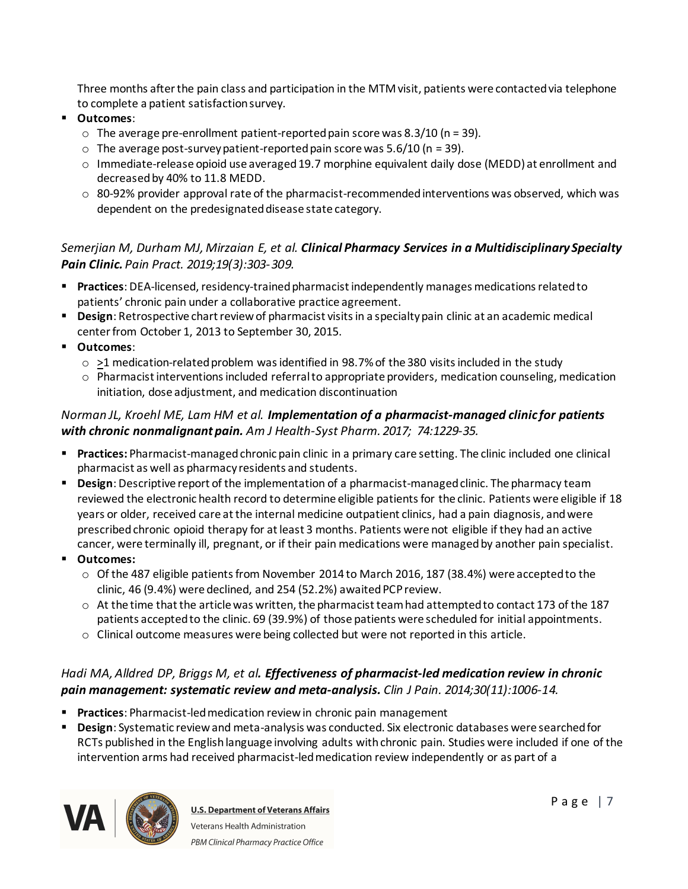Three months after the pain class and participation in the MTM visit, patients were contacted via telephone to complete a patient satisfaction survey.

- § **Outcomes**:
	- $\circ$  The average pre-enrollment patient-reported pain score was 8.3/10 (n = 39).
	- $\circ$  The average post-survey patient-reported pain score was 5.6/10 (n = 39).
	- o Immediate-release opioid use averaged 19.7 morphine equivalent daily dose (MEDD) at enrollment and decreased by 40% to 11.8 MEDD.
	- $\circ$  80-92% provider approval rate of the pharmacist-recommended interventions was observed, which was dependent on the predesignated disease state category.

# *Semerjian M, Durham MJ, Mirzaian E, et al. Clinical Pharmacy Services in a Multidisciplinary Specialty Pain Clinic. Pain Pract. 2019;19(3):303-309.*

- § **Practices**: DEA-licensed, residency-trained pharmacist independently manages medications related to patients' chronic pain under a collaborative practice agreement.
- § **Design**: Retrospective chart review of pharmacist visits in a specialty pain clinic at an academic medical center from October 1, 2013 to September 30, 2015.
- § **Outcomes**:
	- $\circ$  >1 medication-related problem was identified in 98.7% of the 380 visits included in the study
	- $\circ$  Pharmacist interventions included referral to appropriate providers, medication counseling, medication initiation, dose adjustment, and medication discontinuation

# *Norman JL, Kroehl ME, Lam HM et al. Implementation of a pharmacist-managed clinic for patients with chronic nonmalignant pain. Am J Health-Syst Pharm. 2017; 74:1229-35.*

- § **Practices:** Pharmacist-managed chronic pain clinic in a primary care setting. The clinic included one clinical pharmacist as well as pharmacy residents and students.
- § **Design**: Descriptive report of the implementation of a pharmacist-managed clinic. The pharmacy team reviewed the electronic health record to determine eligible patients for the clinic. Patients were eligible if 18 years or older, received care at the internal medicine outpatient clinics, had a pain diagnosis, and were prescribed chronic opioid therapy for at least 3 months. Patients were not eligible if they had an active cancer, were terminally ill, pregnant, or if their pain medications were managed by another pain specialist.
- § **Outcomes:**
	- o Of the 487 eligible patients from November 2014 to March 2016, 187 (38.4%) were accepted to the clinic, 46 (9.4%) were declined, and 254 (52.2%) awaited PCP review.
	- $\circ$  At the time that the article was written, the pharmacist team had attempted to contact 173 of the 187 patients accepted to the clinic. 69 (39.9%) of those patients were scheduled for initial appointments.
	- $\circ$  Clinical outcome measures were being collected but were not reported in this article.

# *Hadi MA, Alldred DP, Briggs M, et al. Effectiveness of pharmacist-led medication review in chronic pain management: systematic review and meta-analysis. Clin J Pain. 2014;30(11):1006-14.*

- § **Practices**: Pharmacist-led medication review in chronic pain management
- § **Design**: Systematic review and meta-analysis was conducted. Six electronic databases were searched for RCTs published in the English language involving adults with chronic pain. Studies were included if one of the intervention arms had received pharmacist-led medication review independently or as part of a

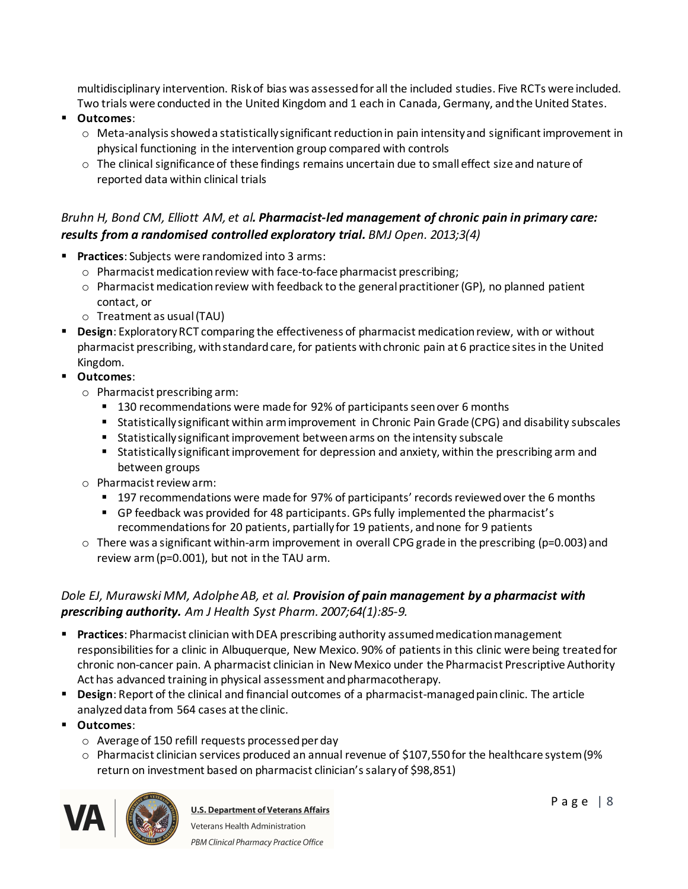multidisciplinary intervention. Risk of bias was assessed for all the included studies. Five RCTs were included. Two trials were conducted in the United Kingdom and 1 each in Canada, Germany, and the United States.

- § **Outcomes**:
	- o Meta-analysis showed a statistically significant reduction in pain intensity and significant improvement in physical functioning in the intervention group compared with controls
	- $\circ$  The clinical significance of these findings remains uncertain due to small effect size and nature of reported data within clinical trials

# *Bruhn H, Bond CM, Elliott AM, et al. Pharmacist-led management of chronic pain in primary care: results from a randomised controlled exploratory trial. BMJ Open. 2013;3(4)*

- § **Practices**: Subjects were randomized into 3 arms:
	- o Pharmacist medication review with face-to-face pharmacist prescribing;
	- o Pharmacist medication review with feedback to the general practitioner (GP), no planned patient contact, or
	- o Treatment as usual (TAU)
- § **Design**: Exploratory RCT comparing the effectiveness of pharmacist medication review, with or without pharmacist prescribing, with standard care, for patients with chronic pain at 6 practice sites in the United Kingdom.
- § **Outcomes**:
	- o Pharmacist prescribing arm:
		- 130 recommendations were made for 92% of participants seen over 6 months
		- Statistically significant within arm improvement in Chronic Pain Grade (CPG) and disability subscales
		- § Statistically significant improvement between arms on the intensity subscale
		- Statistically significant improvement for depression and anxiety, within the prescribing arm and between groups
	- o Pharmacist review arm:
		- 197 recommendations were made for 97% of participants' records reviewed over the 6 months
		- § GP feedback was provided for 48 participants. GPs fully implemented the pharmacist's recommendations for 20 patients, partially for 19 patients, and none for 9 patients
	- $\circ$  There was a significant within-arm improvement in overall CPG grade in the prescribing (p=0.003) and review arm (p=0.001), but not in the TAU arm.

### *Dole EJ, Murawski MM, Adolphe AB, et al. Provision of pain management by a pharmacist with prescribing authority. Am J Health Syst Pharm. 2007;64(1):85-9.*

- § **Practices**: Pharmacist clinician with DEA prescribing authority assumed medication management responsibilities for a clinic in Albuquerque, New Mexico. 90% of patients in this clinic were being treated for chronic non-cancer pain. A pharmacist clinician in New Mexico under the Pharmacist Prescriptive Authority Act has advanced training in physical assessment and pharmacotherapy.
- **Design**: Report of the clinical and financial outcomes of a pharmacist-managed pain clinic. The article analyzed data from 564 cases at the clinic.
- § **Outcomes**:
	- o Average of 150 refill requests processed per day
	- $\circ$  Pharmacist clinician services produced an annual revenue of \$107,550 for the healthcare system (9%) return on investment based on pharmacist clinician's salary of \$98,851)

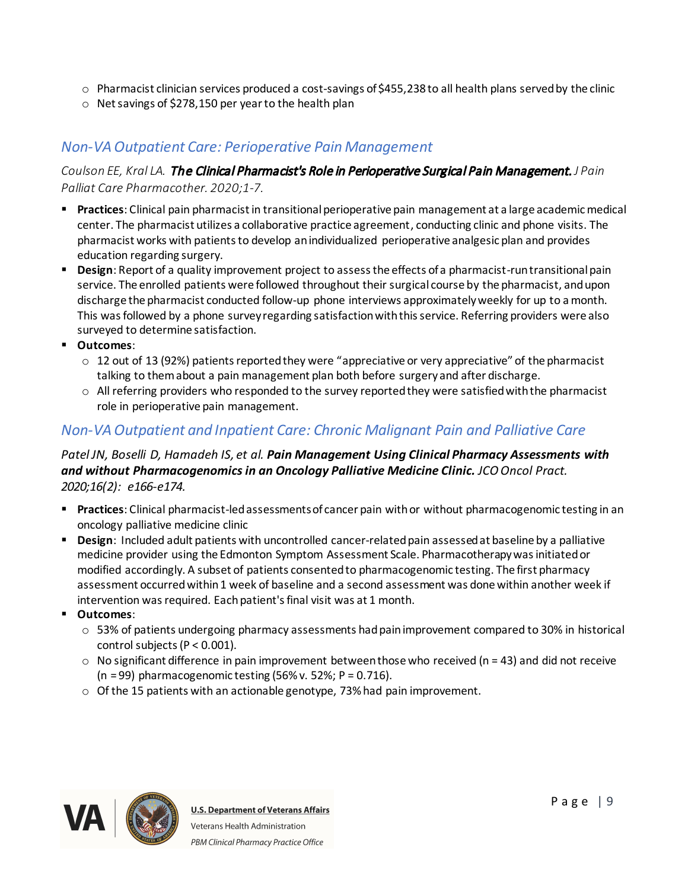- $\circ$  Pharmacist clinician services produced a cost-savings of \$455,238 to all health plans served by the clinic
- o Net savings of \$278,150 per year to the health plan

# <span id="page-8-0"></span>*Non-VA Outpatient Care: Perioperative Pain Management*

### *Coulson EE, Kral LA.* The Clinical Pharmacist's Role in Perioperative Surgical Pain Management. *J Pain Palliat Care Pharmacother. 2020;1-7.*

- § **Practices**: Clinical pain pharmacist in transitional perioperative pain management at a large academic medical center. The pharmacist utilizes a collaborative practice agreement, conducting clinic and phone visits. The pharmacist works with patients to develop an individualized perioperative analgesic plan and provides education regarding surgery.
- § **Design**: Report of a quality improvement project to assess the effects of a pharmacist-run transitional pain service. The enrolled patients were followed throughout their surgical course by the pharmacist, and upon discharge the pharmacist conducted follow-up phone interviews approximately weekly for up to a month. This was followed by a phone survey regarding satisfaction with this service. Referring providers were also surveyed to determine satisfaction.
- § **Outcomes**:
	- o 12 out of 13 (92%) patients reported they were "appreciative or very appreciative" of the pharmacist talking to them about a pain management plan both before surgery and after discharge.
	- $\circ$  All referring providers who responded to the survey reported they were satisfied with the pharmacist role in perioperative pain management.

# <span id="page-8-1"></span>*Non-VA Outpatient and Inpatient Care: Chronic Malignant Pain and Palliative Care*

#### *Patel JN, Boselli D, Hamadeh IS, et al. Pain Management Using Clinical Pharmacy Assessments with and without Pharmacogenomics in an Oncology Palliative Medicine Clinic. JCO Oncol Pract. 2020;16(2): e166-e174.*

- § **Practices**: Clinical pharmacist-led assessments of cancer pain with or without pharmacogenomic testing in an oncology palliative medicine clinic
- § **Design**: Included adult patients with uncontrolled cancer-related pain assessed at baseline by a palliative medicine provider using the Edmonton Symptom Assessment Scale. Pharmacotherapy was initiated or modified accordingly. A subset of patients consented to pharmacogenomic testing. The first pharmacy assessment occurred within 1 week of baseline and a second assessment was done within another week if intervention was required. Each patient's final visit was at 1 month.
- § **Outcomes**:
	- o 53% of patients undergoing pharmacy assessments hadpain improvement compared to 30% in historical control subjects (P < 0.001).
	- $\circ$  No significant difference in pain improvement between those who received (n = 43) and did not receive (n = 99) pharmacogenomic testing (56% v. 52%; P = 0.716).
	- o Of the 15 patients with an actionable genotype, 73% had pain improvement.

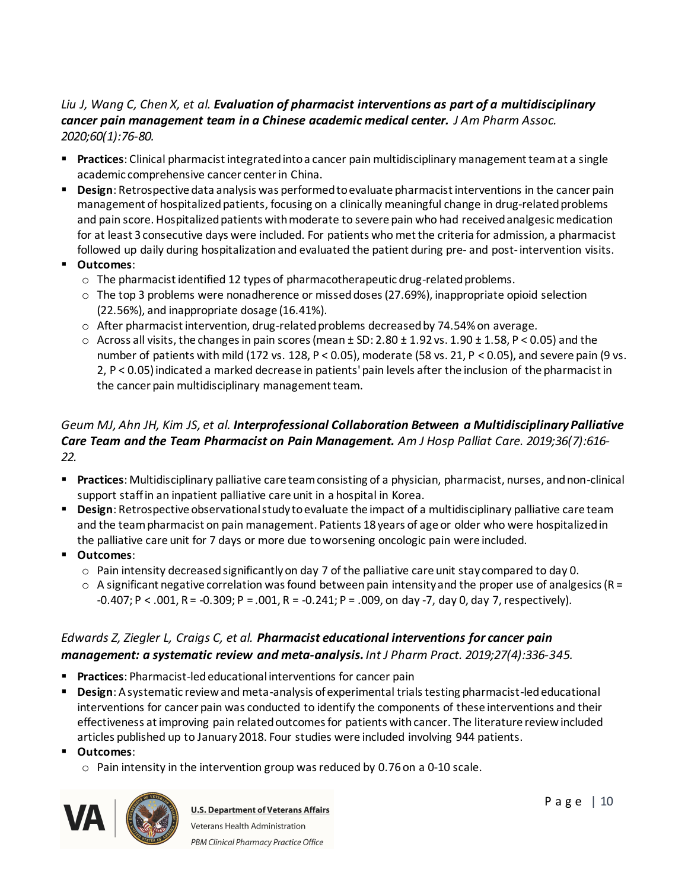# *Liu J, Wang C, Chen X, et al. Evaluation of pharmacist interventions as part of a multidisciplinary cancer pain management team in a Chinese academic medical center. J Am Pharm Assoc. 2020;60(1):76-80.*

- § **Practices**: Clinical pharmacist integrated into a cancer pain multidisciplinary management team at a single academic comprehensive cancer center in China.
- § **Design**: Retrospective data analysis was performed to evaluate pharmacist interventions in the cancer pain management of hospitalized patients, focusing on a clinically meaningful change in drug-related problems and pain score. Hospitalized patients with moderate to severe pain who had received analgesic medication for at least 3 consecutive days were included. For patients who met the criteria for admission, a pharmacist followed up daily during hospitalization and evaluated the patient during pre- and post-intervention visits.
- § **Outcomes**:
	- $\circ$  The pharmacist identified 12 types of pharmacotherapeutic drug-related problems.
	- $\circ$  The top 3 problems were nonadherence or missed doses (27.69%), inappropriate opioid selection (22.56%), and inappropriate dosage (16.41%).
	- $\circ$  After pharmacist intervention, drug-related problems decreased by 74.54% on average.
	- $\circ$  Across all visits, the changes in pain scores (mean  $\pm$  SD: 2.80  $\pm$  1.92 vs. 1.90  $\pm$  1.58, P < 0.05) and the number of patients with mild (172 vs. 128, P < 0.05), moderate (58 vs. 21, P < 0.05), and severe pain (9 vs. 2, P < 0.05) indicated a marked decrease in patients' pain levels after the inclusion of the pharmacist in the cancer pain multidisciplinary management team.

#### *Geum MJ, Ahn JH, Kim JS, et al. Interprofessional Collaboration Between a Multidisciplinary Palliative Care Team and the Team Pharmacist on Pain Management. Am J Hosp Palliat Care. 2019;36(7):616- 22.*

- § **Practices**: Multidisciplinary palliative care team consisting of a physician, pharmacist, nurses, and non-clinical support staff in an inpatient palliative care unit in a hospital in Korea.
- § **Design**: Retrospective observational study to evaluate the impact of a multidisciplinary palliative care team and the team pharmacist on pain management. Patients 18 years of age or older who were hospitalized in the palliative care unit for 7 days or more due toworsening oncologic pain were included.
- § **Outcomes**:
	- $\circ$  Pain intensity decreased significantly on day 7 of the palliative care unit stay compared to day 0.
	- $\circ$  A significant negative correlation was found between pain intensity and the proper use of analgesics (R = -0.407; P < .001, R = -0.309; P = .001, R = -0.241; P = .009, on day -7, day 0, day 7, respectively).

### *Edwards Z, Ziegler L, Craigs C, et al. Pharmacist educational interventions for cancer pain management: a systematic review and meta-analysis. Int J Pharm Pract. 2019;27(4):336-345.*

- § **Practices**: Pharmacist-led educational interventions for cancer pain
- § **Design**: A systematic review and meta-analysis of experimental trials testing pharmacist-led educational interventions for cancer pain was conducted to identify the components of these interventions and their effectiveness at improving pain related outcomes for patients with cancer. The literature review included articles published up to January 2018. Four studies were included involving 944 patients.
- § **Outcomes**:
	- $\circ$  Pain intensity in the intervention group was reduced by 0.76 on a 0-10 scale.

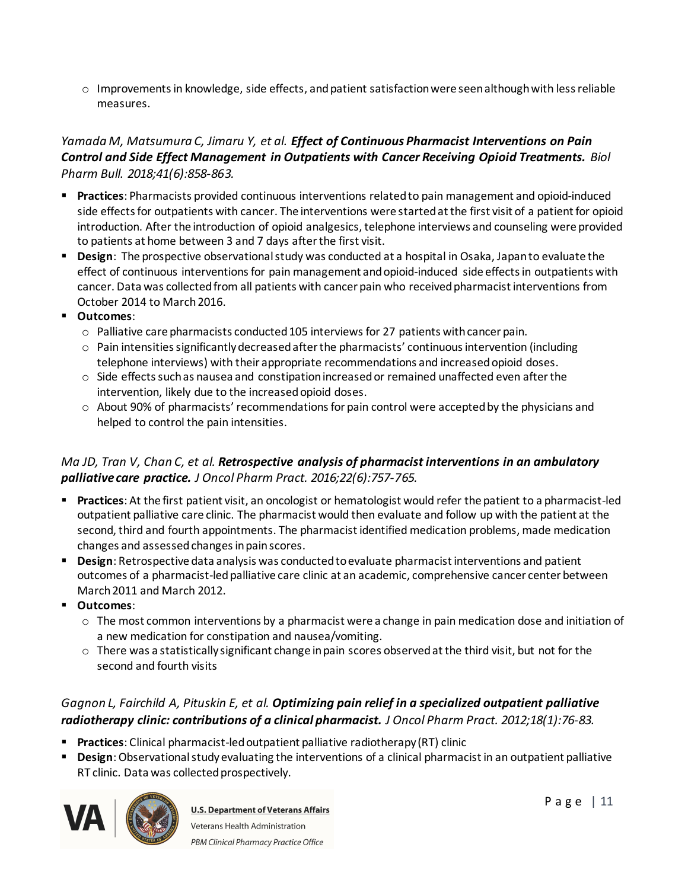$\circ$  Improvements in knowledge, side effects, and patient satisfaction were seen although with less reliable measures.

#### *Yamada M, Matsumura C, Jimaru Y, et al. Effect of Continuous Pharmacist Interventions on Pain Control and Side Effect Management in Outpatients with Cancer Receiving Opioid Treatments. Biol Pharm Bull. 2018;41(6):858-863.*

- § **Practices**: Pharmacists provided continuous interventions related to pain management and opioid-induced side effects for outpatients with cancer. The interventions were started at the first visit of a patient for opioid introduction. After the introduction of opioid analgesics, telephone interviews and counseling were provided to patients at home between 3 and 7 days after the first visit.
- § **Design**: The prospective observational study was conducted at a hospital in Osaka, Japan to evaluate the effect of continuous interventions for pain management and opioid-induced side effects in outpatients with cancer. Data was collected from all patients with cancer pain who received pharmacist interventions from October 2014 to March 2016.
- § **Outcomes**:
	- o Palliative care pharmacists conducted 105 interviews for 27 patients with cancer pain.
	- $\circ$  Pain intensities significantly decreased after the pharmacists' continuous intervention (including telephone interviews) with their appropriate recommendations and increased opioid doses.
	- $\circ$  Side effects such as nausea and constipation increased or remained unaffected even after the intervention, likely due to the increased opioid doses.
	- $\circ$  About 90% of pharmacists' recommendations for pain control were accepted by the physicians and helped to control the pain intensities.

# *Ma JD, Tran V, Chan C, et al. Retrospective analysis of pharmacist interventions in an ambulatory palliative care practice. J Oncol Pharm Pract. 2016;22(6):757-765.*

- § **Practices**: At the first patient visit, an oncologist or hematologist would refer the patient to a pharmacist-led outpatient palliative care clinic. The pharmacist would then evaluate and follow up with the patient at the second, third and fourth appointments. The pharmacist identified medication problems, made medication changes and assessed changes in pain scores.
- § **Design**: Retrospective data analysis was conducted to evaluate pharmacist interventions and patient outcomes of a pharmacist-led palliative care clinic at an academic, comprehensive cancer center between March 2011 and March 2012.
- § **Outcomes**:
	- $\circ$  The most common interventions by a pharmacist were a change in pain medication dose and initiation of a new medication for constipation and nausea/vomiting.
	- $\circ$  There was a statistically significant change in pain scores observed at the third visit, but not for the second and fourth visits

# *Gagnon L, Fairchild A, Pituskin E, et al. Optimizing pain relief in a specialized outpatient palliative radiotherapy clinic: contributions of a clinical pharmacist. J Oncol Pharm Pract. 2012;18(1):76-83.*

- § **Practices**: Clinical pharmacist-led outpatient palliative radiotherapy (RT) clinic
- § **Design**: Observational study evaluating the interventions of a clinical pharmacist in an outpatient palliative RT clinic. Data was collected prospectively.

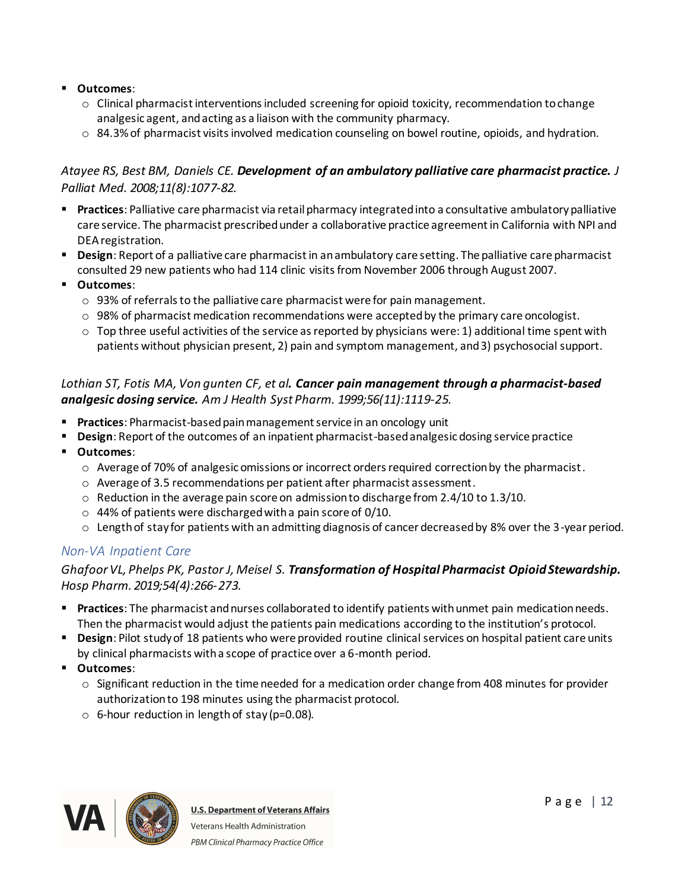#### § **Outcomes**:

- $\circ$  Clinical pharmacist interventions included screening for opioid toxicity, recommendation to change analgesic agent, and acting as a liaison with the community pharmacy.
- $\circ$  84.3% of pharmacist visits involved medication counseling on bowel routine, opioids, and hydration.

#### *Atayee RS, Best BM, Daniels CE. Development of an ambulatory palliative care pharmacist practice. J Palliat Med. 2008;11(8):1077-82.*

- § **Practices**: Palliative care pharmacist via retail pharmacy integrated into a consultative ambulatory palliative care service. The pharmacist prescribedunder a collaborative practice agreement in California with NPI and DEA registration.
- § **Design**: Report of a palliative care pharmacist in an ambulatory care setting. The palliative care pharmacist consulted 29 new patients who had 114 clinic visits from November 2006 through August 2007.
- § **Outcomes**:
	- o 93% of referrals to the palliative care pharmacist were for pain management.
	- $\circ$  98% of pharmacist medication recommendations were accepted by the primary care oncologist.
	- $\circ$  Top three useful activities of the service as reported by physicians were: 1) additional time spent with patients without physician present, 2) pain and symptom management, and 3) psychosocial support.

#### *Lothian ST, Fotis MA, Von gunten CF, et al. Cancer pain management through a pharmacist-based analgesic dosing service. Am J Health Syst Pharm. 1999;56(11):1119-25.*

- § **Practices**: Pharmacist-based pain management service in an oncology unit
- **Design**: Report of the outcomes of an inpatient pharmacist-based analgesic dosing service practice
- § **Outcomes**:
	- o Average of 70% of analgesic omissions or incorrect orders required correction by the pharmacist.
	- $\circ$  Average of 3.5 recommendations per patient after pharmacist assessment.
	- $\circ$  Reduction in the average pain score on admission to discharge from 2.4/10 to 1.3/10.
	- $\circ$  44% of patients were discharged with a pain score of 0/10.
	- o Length of stay for patients with an admitting diagnosis of cancer decreased by 8% over the 3-year period.

#### <span id="page-11-0"></span>*Non-VA Inpatient Care*

#### *Ghafoor VL, Phelps PK, Pastor J, Meisel S. Transformation of Hospital Pharmacist Opioid Stewardship. Hosp Pharm. 2019;54(4):266-273.*

- § **Practices**: The pharmacist and nurses collaborated to identify patients with unmet pain medication needs. Then the pharmacist would adjust the patients pain medications according to the institution's protocol.
- § **Design**: Pilot study of 18 patients who were provided routine clinical services on hospital patient care units by clinical pharmacists with a scope of practice over a 6-month period.
- § **Outcomes**:
	- $\circ$  Significant reduction in the time needed for a medication order change from 408 minutes for provider authorization to 198 minutes using the pharmacist protocol.
	- $\circ$  6-hour reduction in length of stay (p=0.08).

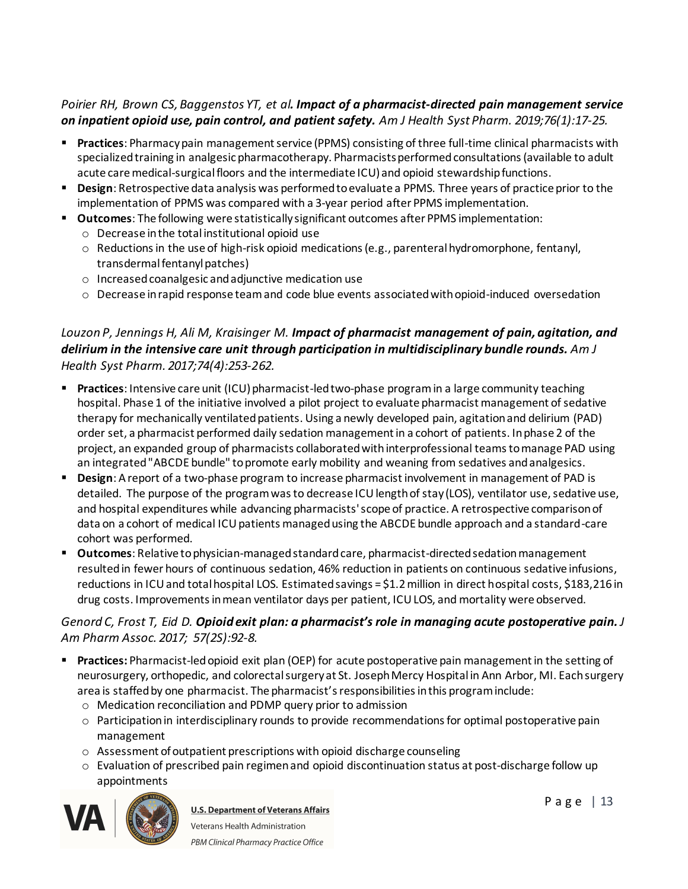### *Poirier RH, Brown CS, Baggenstos YT, et al. Impact of a pharmacist-directed pain management service on inpatient opioid use, pain control, and patient safety. Am J Health Syst Pharm. 2019;76(1):17-25.*

- § **Practices**: Pharmacy pain management service (PPMS) consisting of three full-time clinical pharmacists with specialized training in analgesic pharmacotherapy. Pharmacists performed consultations (available to adult acute care medical-surgical floors and the intermediate ICU) and opioid stewardship functions.
- § **Design**: Retrospective data analysis was performed to evaluate a PPMS. Three years of practice prior to the implementation of PPMS was compared with a 3-year period after PPMS implementation.
- § **Outcomes**: The following were statistically significant outcomes after PPMS implementation: o Decrease in the total institutional opioid use
	- $\circ$  Reductions in the use of high-risk opioid medications (e.g., parenteral hydromorphone, fentanyl, transdermal fentanyl patches)
	- o Increased coanalgesic and adjunctive medication use
	- o Decrease in rapid response team and code blue events associated with opioid-induced oversedation

# *Louzon P, Jennings H, Ali M, Kraisinger M. Impact of pharmacist management of pain, agitation, and delirium in the intensive care unit through participation in multidisciplinary bundle rounds. Am J Health Syst Pharm. 2017;74(4):253-262.*

- § **Practices**: Intensive care unit (ICU) pharmacist-led two-phase program in a large community teaching hospital. Phase 1 of the initiative involved a pilot project to evaluate pharmacist management of sedative therapy for mechanically ventilated patients. Using a newly developed pain, agitation and delirium (PAD) order set, a pharmacist performed daily sedation management in a cohort of patients. In phase 2 of the project, an expanded group of pharmacists collaborated with interprofessional teams to manage PAD using an integrated "ABCDE bundle" to promote early mobility and weaning from sedatives and analgesics.
- **Design**: A report of a two-phase program to increase pharmacist involvement in management of PAD is detailed. The purpose of the program was to decrease ICU length of stay (LOS), ventilator use, sedative use, and hospital expenditures while advancing pharmacists' scope of practice. A retrospective comparison of data on a cohort of medical ICU patients managed using the ABCDE bundle approach and a standard-care cohort was performed.
- § **Outcomes**: Relative to physician-managed standard care, pharmacist-directed sedation management resulted in fewer hours of continuous sedation, 46% reduction in patients on continuous sedative infusions, reductions in ICU and total hospital LOS. Estimated savings = \$1.2 million in direct hospital costs, \$183,216 in drug costs. Improvements in mean ventilator days per patient, ICU LOS, and mortality were observed.

# *Genord C, Frost T, Eid D. Opioid exit plan: a pharmacist's role in managing acute postoperative pain. J Am Pharm Assoc. 2017; 57(2S):92-8.*

- § **Practices:** Pharmacist-led opioid exit plan (OEP) for acute postoperative pain management in the setting of neurosurgery, orthopedic, and colorectal surgery at St. Joseph Mercy Hospital in Ann Arbor, MI. Each surgery area is staffed by one pharmacist. The pharmacist's responsibilities in this program include:
	- o Medication reconciliation and PDMP query prior to admission
	- o Participation in interdisciplinary rounds to provide recommendations for optimal postoperative pain management
	- o Assessment of outpatient prescriptions with opioid discharge counseling
	- $\circ$  Evaluation of prescribed pain regimen and opioid discontinuation status at post-discharge follow up appointments

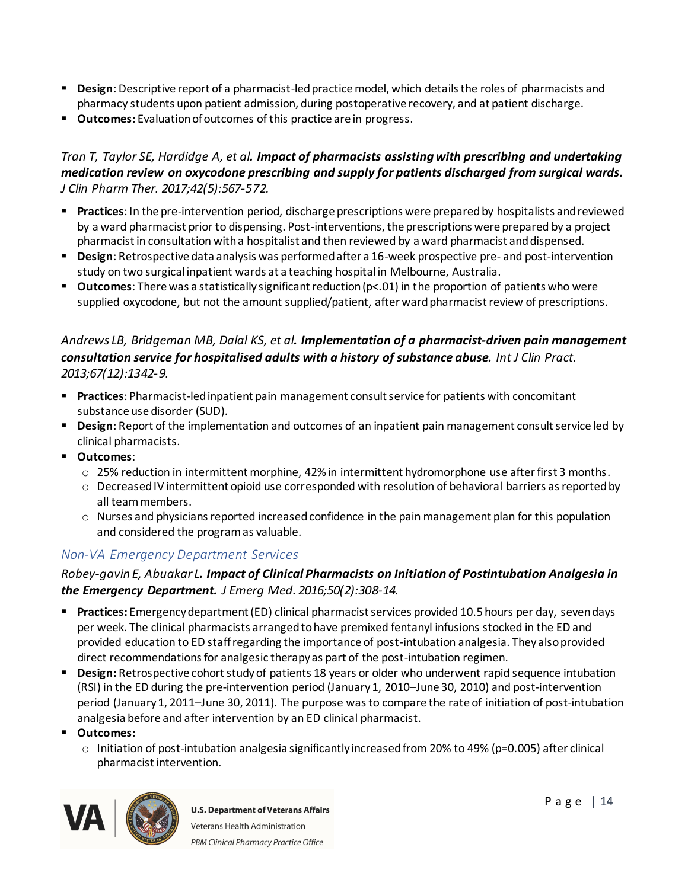- § **Design**: Descriptive report of a pharmacist-led practice model, which details the roles of pharmacists and pharmacy students upon patient admission, during postoperative recovery, and at patient discharge.
- § **Outcomes:** Evaluation of outcomes of this practice are in progress.

#### *Tran T, Taylor SE, Hardidge A, et al. Impact of pharmacists assisting with prescribing and undertaking medication review on oxycodone prescribing and supply for patients discharged from surgical wards. J Clin Pharm Ther. 2017;42(5):567-572.*

- § **Practices**: In the pre-intervention period, discharge prescriptions were prepared by hospitalists and reviewed by a ward pharmacist prior to dispensing. Post-interventions, the prescriptions were prepared by a project pharmacist in consultation with a hospitalist and then reviewed by a ward pharmacist and dispensed.
- § **Design**: Retrospective data analysis was performed after a 16-week prospective pre- and post-intervention study on two surgical inpatient wards at a teaching hospital in Melbourne, Australia.
- **Outcomes**: There was a statistically significant reduction (p<.01) in the proportion of patients who were supplied oxycodone, but not the amount supplied/patient, after ward pharmacist review of prescriptions.

#### *Andrews LB, Bridgeman MB, Dalal KS, et al. Implementation of a pharmacist-driven pain management consultation service for hospitalised adults with a history of substance abuse. Int J Clin Pract. 2013;67(12):1342-9.*

- § **Practices**: Pharmacist-led inpatient pain management consult service for patients with concomitant substance use disorder (SUD).
- § **Design**: Report of the implementation and outcomes of an inpatient pain management consult service led by clinical pharmacists.
- § **Outcomes**:
	- $\circ$  25% reduction in intermittent morphine, 42% in intermittent hydromorphone use after first 3 months.
	- $\circ$  Decreased IV intermittent opioid use corresponded with resolution of behavioral barriers as reported by all team members.
	- o Nurses and physicians reported increased confidence in the pain management plan for this population and considered the program as valuable.

# <span id="page-13-0"></span>*Non-VA Emergency Department Services*

#### *Robey-gavin E, Abuakar L. Impact of Clinical Pharmacists on Initiation of Postintubation Analgesia in the Emergency Department. J Emerg Med. 2016;50(2):308-14.*

- § **Practices:** Emergency department (ED) clinical pharmacist services provided 10.5 hours per day, seven days per week. The clinical pharmacists arranged to have premixed fentanyl infusions stocked in the ED and provided education to ED staff regarding the importance of post-intubation analgesia. They also provided direct recommendations for analgesic therapy as part of the post-intubation regimen.
- § **Design:** Retrospective cohort study of patients 18 years or older who underwent rapid sequence intubation (RSI) in the ED during the pre-intervention period (January 1, 2010–June 30, 2010) and post-intervention period (January 1, 2011–June 30, 2011). The purpose was to compare the rate of initiation of post-intubation analgesia before and after intervention by an ED clinical pharmacist.
- § **Outcomes:** 
	- $\circ$  Initiation of post-intubation analgesia significantly increased from 20% to 49% (p=0.005) after clinical pharmacist intervention.

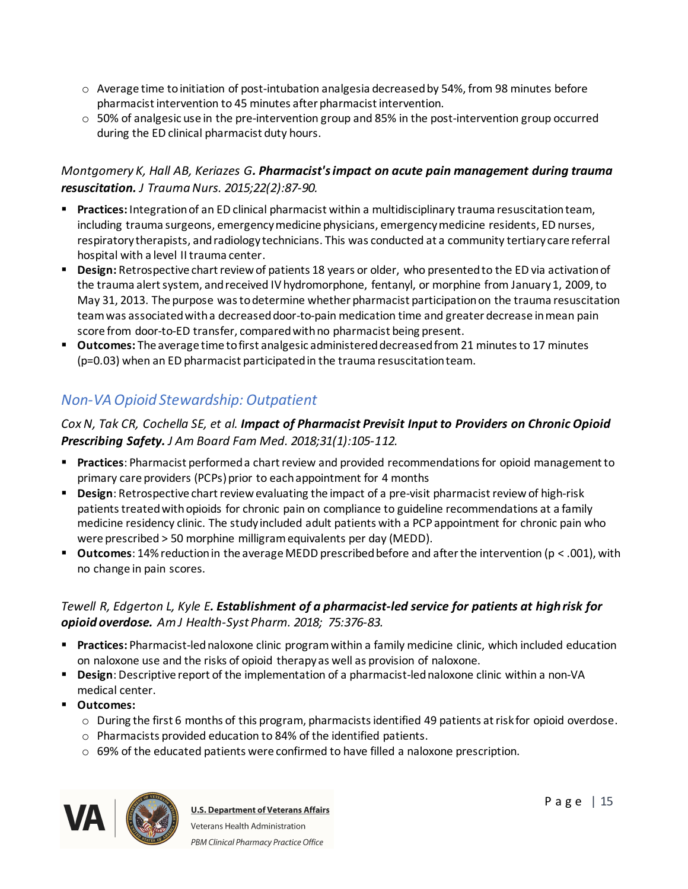- $\circ$  Average time to initiation of post-intubation analgesia decreased by 54%, from 98 minutes before pharmacist intervention to 45 minutes after pharmacist intervention.
- $\circ$  50% of analgesic use in the pre-intervention group and 85% in the post-intervention group occurred during the ED clinical pharmacist duty hours.

### *Montgomery K, Hall AB, Keriazes G. Pharmacist's impact on acute pain management during trauma resuscitation. J Trauma Nurs. 2015;22(2):87-90.*

- § **Practices:** Integration of an ED clinical pharmacist within a multidisciplinary trauma resuscitation team, including trauma surgeons, emergency medicine physicians, emergency medicine residents, ED nurses, respiratory therapists, and radiology technicians. This was conducted at a community tertiary care referral hospital with a level II trauma center.
- § **Design:** Retrospective chart review of patients 18 years or older, who presented to the ED via activation of the trauma alert system, and received IV hydromorphone, fentanyl, or morphine from January 1, 2009, to May 31, 2013. The purpose was to determine whether pharmacist participation on the trauma resuscitation team was associated with a decreased door-to-pain medication time and greater decrease in mean pain score from door-to-ED transfer, compared with no pharmacist being present.
- § **Outcomes:** The average time to first analgesic administered decreased from 21 minutes to 17 minutes (p=0.03) when an ED pharmacist participated in the trauma resuscitation team.

# <span id="page-14-0"></span>*Non-VA Opioid Stewardship: Outpatient*

# *Cox N, Tak CR, Cochella SE, et al. Impact of Pharmacist Previsit Input to Providers on Chronic Opioid Prescribing Safety. J Am Board Fam Med. 2018;31(1):105-112.*

- § **Practices**: Pharmacist performed a chart review and provided recommendations for opioid management to primary care providers (PCPs) prior to each appointment for 4 months
- § **Design**: Retrospective chart review evaluating the impact of a pre-visit pharmacist review of high-risk patients treated with opioids for chronic pain on compliance to guideline recommendations at a family medicine residency clinic. The study included adult patients with a PCP appointment for chronic pain who were prescribed > 50 morphine milligram equivalents per day (MEDD).
- **Outcomes**: 14% reduction in the average MEDD prescribed before and after the intervention (p < .001), with no change in pain scores.

# *Tewell R, Edgerton L, Kyle E. Establishment of a pharmacist-led service for patients at high risk for opioid overdose. Am J Health-Syst Pharm. 2018; 75:376-83.*

- § **Practices:** Pharmacist-led naloxone clinic program within a family medicine clinic, which included education on naloxone use and the risks of opioid therapyas well as provision of naloxone.
- § **Design**: Descriptive report of the implementation of a pharmacist-led naloxone clinic within a non-VA medical center.
- § **Outcomes:**
	- o During the first 6 months of this program, pharmacists identified 49 patients at risk for opioid overdose.
	- o Pharmacists provided education to 84% of the identified patients.
	- $\circ$  69% of the educated patients were confirmed to have filled a naloxone prescription.

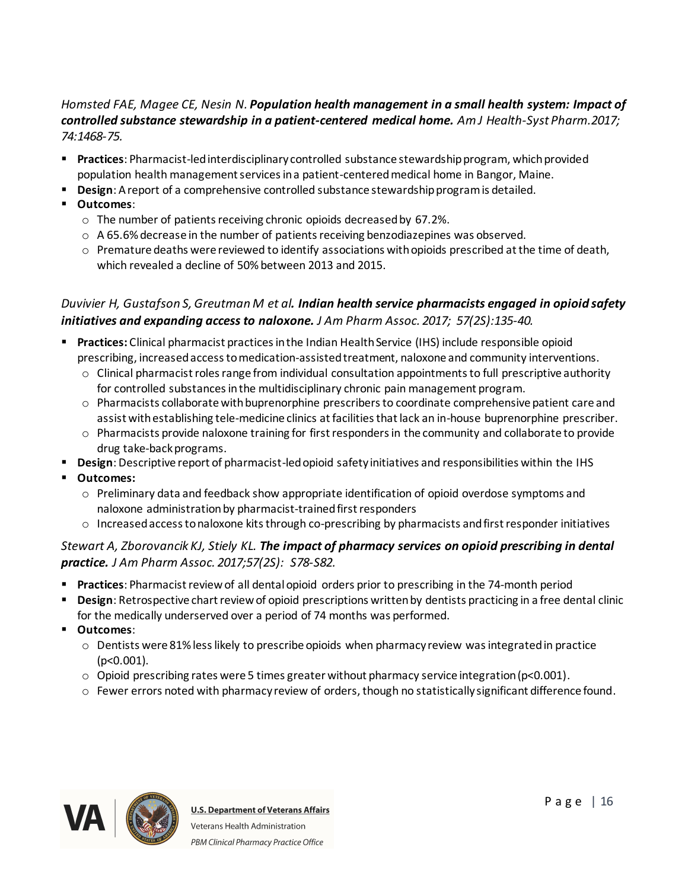#### *Homsted FAE, Magee CE, Nesin N. Population health management in a small health system: Impact of controlled substance stewardship in a patient-centered medical home. Am J Health-Syst Pharm.2017; 74:1468-75.*

- § **Practices**: Pharmacist-led interdisciplinary controlled substance stewardship program, which provided population health management services in a patient-centered medical home in Bangor, Maine.
- **Design:** A report of a comprehensive controlled substance stewardship program is detailed.
- § **Outcomes**:
	- o The number of patients receiving chronic opioids decreased by 67.2%.
	- o A 65.6% decrease in the number of patients receiving benzodiazepines was observed.
	- $\circ$  Premature deaths were reviewed to identify associations with opioids prescribed at the time of death, which revealed a decline of 50% between 2013 and 2015.

# *Duvivier H, Gustafson S, Greutman M et al. Indian health service pharmacists engaged in opioid safety initiatives and expanding access to naloxone. J Am Pharm Assoc. 2017; 57(2S):135-40.*

- § **Practices:** Clinical pharmacist practices in the Indian Health Service (IHS) include responsible opioid prescribing, increased access to medication-assisted treatment, naloxone and community interventions.
	- $\circ$  Clinical pharmacist roles range from individual consultation appointments to full prescriptive authority for controlled substances in the multidisciplinary chronic pain management program.
	- o Pharmacists collaborate with buprenorphine prescribers to coordinate comprehensive patient care and assist with establishing tele-medicine clinics at facilities that lack an in-house buprenorphine prescriber.
	- $\circ$  Pharmacists provide naloxone training for first responders in the community and collaborate to provide drug take-back programs.
- **Design**: Descriptive report of pharmacist-led opioid safety initiatives and responsibilities within the IHS
- § **Outcomes:**
	- $\circ$  Preliminary data and feedback show appropriate identification of opioid overdose symptoms and naloxone administration by pharmacist-trained first responders
	- $\circ$  Increased access to naloxone kits through co-prescribing by pharmacists and first responder initiatives

# *Stewart A, Zborovancik KJ, Stiely KL. The impact of pharmacy services on opioid prescribing in dental practice. J Am Pharm Assoc. 2017;57(2S): S78-S82.*

- § **Practices**: Pharmacist review of all dental opioid orders prior to prescribing in the 74-month period
- § **Design**: Retrospective chart review of opioid prescriptions written by dentists practicing in a free dental clinic for the medically underserved over a period of 74 months was performed.
- § **Outcomes**:
	- $\circ$  Dentists were 81% less likely to prescribe opioids when pharmacy review was integrated in practice (p<0.001).
	- $\circ$  Opioid prescribing rates were 5 times greater without pharmacy service integration (p<0.001).
	- o Fewer errors noted with pharmacy review of orders, though no statistically significant difference found.

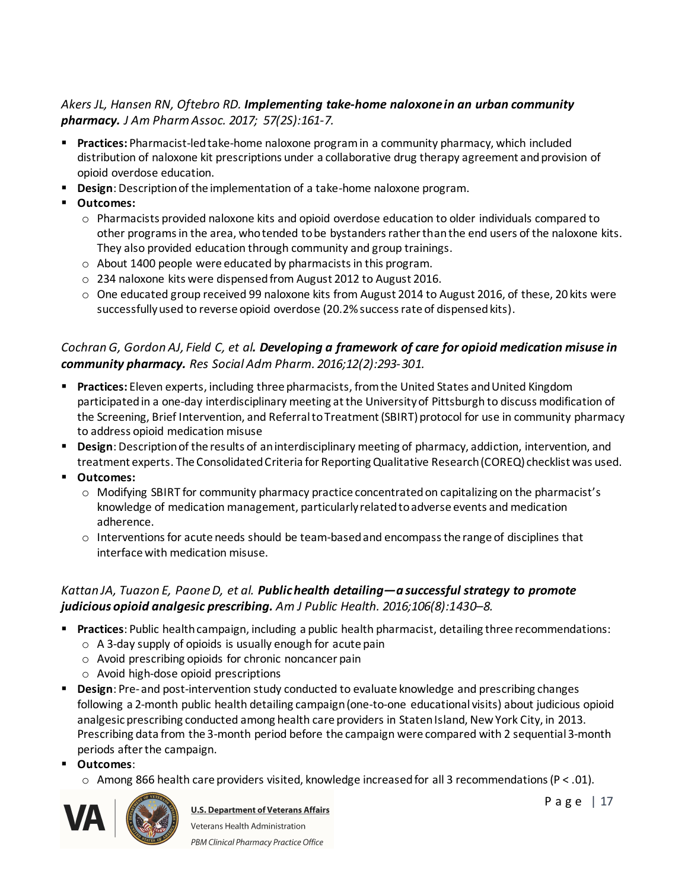### *Akers JL, Hansen RN, Oftebro RD. Implementing take-home naloxone in an urban community pharmacy. J Am Pharm Assoc. 2017; 57(2S):161-7.*

- § **Practices:** Pharmacist-led take-home naloxone program in a community pharmacy, which included distribution of naloxone kit prescriptions under a collaborative drug therapy agreement and provision of opioid overdose education.
- § **Design**: Description of the implementation of a take-home naloxone program.
- § **Outcomes:**
	- $\circ$  Pharmacists provided naloxone kits and opioid overdose education to older individuals compared to other programs in the area, who tended to be bystanders rather than the end users of the naloxone kits. They also provided education through community and group trainings.
	- o About 1400 people were educated by pharmacists in this program.
	- o 234 naloxone kits were dispensed from August 2012 to August 2016.
	- o One educated group received 99 naloxone kits from August 2014 to August 2016, of these, 20 kits were successfully used to reverse opioid overdose (20.2% success rate of dispensed kits).

# *Cochran G, Gordon AJ, Field C, et al. Developing a framework of care for opioid medication misuse in community pharmacy. Res Social Adm Pharm. 2016;12(2):293-301.*

- § **Practices:** Eleven experts, including three pharmacists, from the United States and United Kingdom participated in a one-day interdisciplinary meeting at the University of Pittsburgh to discuss modification of the Screening, Brief Intervention, and Referral to Treatment (SBIRT) protocol for use in community pharmacy to address opioid medication misuse
- § **Design**: Description of the results of an interdisciplinary meeting of pharmacy, addiction, intervention, and treatment experts. The Consolidated Criteria for Reporting Qualitative Research (COREQ) checklist was used.
- § **Outcomes:**
	- o Modifying SBIRT for community pharmacy practice concentrated on capitalizing on the pharmacist's knowledge of medication management, particularly related to adverse events and medication adherence.
	- o Interventions for acute needs should be team-based and encompass the range of disciplines that interface with medication misuse.

### *Kattan JA, Tuazon E, Paone D, et al. Public health detailing—a successful strategy to promote judicious opioid analgesic prescribing. Am J Public Health. 2016;106(8):1430–8.*

- § **Practices**: Public health campaign, including a public health pharmacist, detailing three recommendations:
	- $\circ$  A 3-day supply of opioids is usually enough for acute pain
	- o Avoid prescribing opioids for chronic noncancer pain
	- o Avoid high-dose opioid prescriptions
- § **Design**: Pre- and post-intervention study conducted to evaluate knowledge and prescribing changes following a 2-month public health detailing campaign (one-to-one educational visits) about judicious opioid analgesic prescribing conducted among health care providers in Staten Island, New York City, in 2013. Prescribing data from the 3-month period before the campaign were compared with 2 sequential 3-month periods after the campaign.
- § **Outcomes**:
	- $\circ$  Among 866 health care providers visited, knowledge increased for all 3 recommendations (P < .01).



**U.S. Department of Veterans Affairs** Veterans Health Administration PBM Clinical Pharmacy Practice Office

P a g e | 17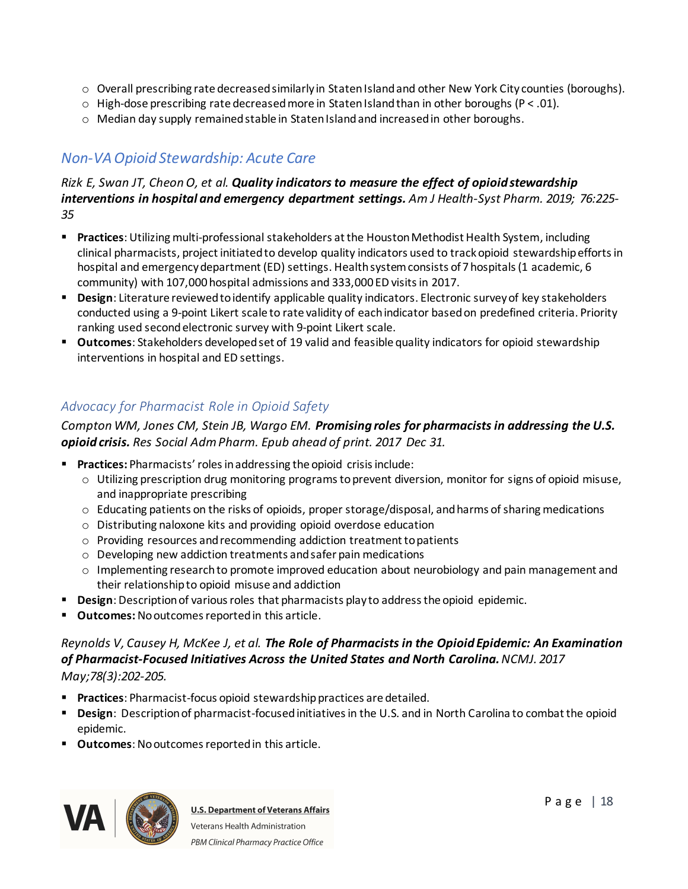- $\circ$  Overall prescribing rate decreased similarly in Staten Island and other New York City counties (boroughs).
- $\circ$  High-dose prescribing rate decreased more in Staten Island than in other boroughs (P < .01).
- $\circ$  Median day supply remained stable in Staten Island and increased in other boroughs.

# <span id="page-17-0"></span>*Non-VA Opioid Stewardship: Acute Care*

#### *Rizk E, Swan JT, Cheon O, et al. Quality indicators to measure the effect of opioid stewardship interventions in hospital and emergency department settings. Am J Health-Syst Pharm. 2019; 76:225- 35*

- § **Practices**: Utilizing multi-professional stakeholders at the Houston Methodist Health System, including clinical pharmacists, project initiated to develop quality indicators used to track opioid stewardship efforts in hospital and emergency department (ED) settings. Health system consists of 7 hospitals (1 academic, 6 community) with 107,000 hospital admissions and 333,000 ED visits in 2017.
- § **Design**: Literature reviewed to identify applicable quality indicators. Electronic survey of key stakeholders conducted using a 9-point Likert scale to rate validity of each indicator based on predefined criteria. Priority ranking used second electronic survey with 9-point Likert scale.
- § **Outcomes**: Stakeholders developed set of 19 valid and feasible quality indicators for opioid stewardship interventions in hospital and ED settings.

# <span id="page-17-1"></span>*Advocacy for Pharmacist Role in Opioid Safety*

#### *Compton WM, Jones CM, Stein JB, Wargo EM. Promising roles for pharmacists in addressing the U.S. opioid crisis. Res Social Adm Pharm. Epub ahead of print. 2017 Dec 31.*

- **Practices:** Pharmacists' roles in addressing the opioid crisis include:
	- o Utilizing prescription drug monitoring programs to prevent diversion, monitor for signs of opioid misuse, and inappropriate prescribing
	- o Educating patients on the risks of opioids, proper storage/disposal, and harms of sharing medications
	- o Distributing naloxone kits and providing opioid overdose education
	- o Providing resources and recommending addiction treatment to patients
	- o Developing new addiction treatments and safer pain medications
	- $\circ$  Implementing research to promote improved education about neurobiology and pain management and their relationship to opioid misuse and addiction
- **Design:** Description of various roles that pharmacists play to address the opioid epidemic.
- § **Outcomes:** No outcomes reported in this article.

#### *Reynolds V, Causey H, McKee J, et al. The Role of Pharmacists in the Opioid Epidemic: An Examination of Pharmacist-Focused Initiatives Across the United States and North Carolina.NCMJ. 2017 May;78(3):202-205.*

- § **Practices**: Pharmacist-focus opioid stewardship practices are detailed.
- § **Design**: Description of pharmacist-focused initiatives in the U.S. and in North Carolina to combat the opioid epidemic.
- **Outcomes**: No outcomes reported in this article.